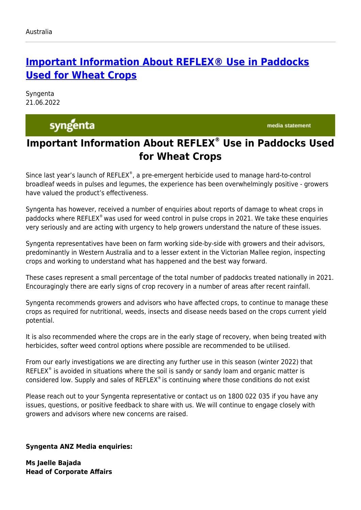## **[Important Information About REFLEX® Use in Paddocks](https://www.syngenta.com.au/news/syngenta/important-information-about-reflex-use-paddocks-wheat-crops) [Used for Wheat Crops](https://www.syngenta.com.au/news/syngenta/important-information-about-reflex-use-paddocks-wheat-crops)**

Syngenta 21.06.2022

syngenta

media statement

## **Important Information About REFLEX® Use in Paddocks Used for Wheat Crops**

Since last year's launch of REFLEX®, a pre-emergent herbicide used to manage hard-to-control broadleaf weeds in pulses and legumes, the experience has been overwhelmingly positive - growers have valued the product's effectiveness.

Syngenta has however, received a number of enquiries about reports of damage to wheat crops in paddocks where REFLEX® was used for weed control in pulse crops in 2021. We take these enquiries very seriously and are acting with urgency to help growers understand the nature of these issues.

Syngenta representatives have been on farm working side-by-side with growers and their advisors, predominantly in Western Australia and to a lesser extent in the Victorian Mallee region, inspecting crops and working to understand what has happened and the best way forward.

These cases represent a small percentage of the total number of paddocks treated nationally in 2021. Encouragingly there are early signs of crop recovery in a number of areas after recent rainfall.

Syngenta recommends growers and advisors who have affected crops, to continue to manage these crops as required for nutritional, weeds, insects and disease needs based on the crops current yield potential.

It is also recommended where the crops are in the early stage of recovery, when being treated with herbicides, softer weed control options where possible are recommended to be utilised.

From our early investigations we are directing any further use in this season (winter 2022) that REFLEX $\textdegree$  is avoided in situations where the soil is sandy or sandy loam and organic matter is considered low. Supply and sales of REFLEX® is continuing where those conditions do not exist

Please reach out to your Syngenta representative or contact us on 1800 022 035 if you have any issues, questions, or positive feedback to share with us. We will continue to engage closely with growers and advisors where new concerns are raised.

**Syngenta ANZ Media enquiries:**

**Ms Jaelle Bajada Head of Corporate Affairs**